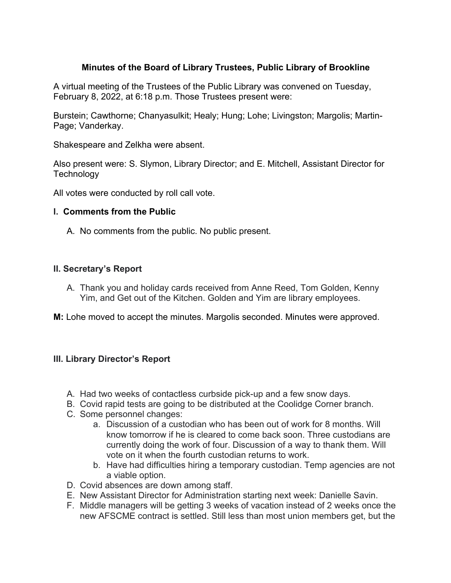## **Minutes of the Board of Library Trustees, Public Library of Brookline**

A virtual meeting of the Trustees of the Public Library was convened on Tuesday, February 8, 2022, at 6:18 p.m. Those Trustees present were:

Burstein; Cawthorne; Chanyasulkit; Healy; Hung; Lohe; Livingston; Margolis; Martin-Page; Vanderkay.

Shakespeare and Zelkha were absent.

Also present were: S. Slymon, Library Director; and E. Mitchell, Assistant Director for **Technology** 

All votes were conducted by roll call vote.

#### **I. Comments from the Public**

A. No comments from the public. No public present.

## **II. Secretary's Report**

A. Thank you and holiday cards received from Anne Reed, Tom Golden, Kenny Yim, and Get out of the Kitchen. Golden and Yim are library employees.

**M:** Lohe moved to accept the minutes. Margolis seconded. Minutes were approved.

## **III. Library Director's Report**

- A. Had two weeks of contactless curbside pick-up and a few snow days.
- B. Covid rapid tests are going to be distributed at the Coolidge Corner branch.
- C. Some personnel changes:
	- a. Discussion of a custodian who has been out of work for 8 months. Will know tomorrow if he is cleared to come back soon. Three custodians are currently doing the work of four. Discussion of a way to thank them. Will vote on it when the fourth custodian returns to work.
	- b. Have had difficulties hiring a temporary custodian. Temp agencies are not a viable option.
- D. Covid absences are down among staff.
- E. New Assistant Director for Administration starting next week: Danielle Savin.
- F. Middle managers will be getting 3 weeks of vacation instead of 2 weeks once the new AFSCME contract is settled. Still less than most union members get, but the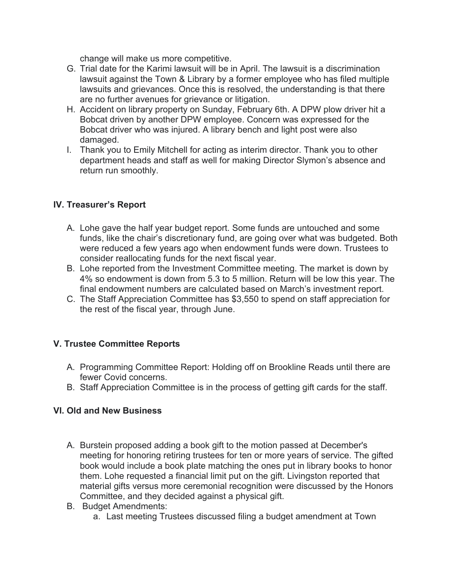change will make us more competitive.

- G. Trial date for the Karimi lawsuit will be in April. The lawsuit is a discrimination lawsuit against the Town & Library by a former employee who has filed multiple lawsuits and grievances. Once this is resolved, the understanding is that there are no further avenues for grievance or litigation.
- H. Accident on library property on Sunday, February 6th. A DPW plow driver hit a Bobcat driven by another DPW employee. Concern was expressed for the Bobcat driver who was injured. A library bench and light post were also damaged.
- I. Thank you to Emily Mitchell for acting as interim director. Thank you to other department heads and staff as well for making Director Slymon's absence and return run smoothly.

## **IV. Treasurer's Report**

- A. Lohe gave the half year budget report. Some funds are untouched and some funds, like the chair's discretionary fund, are going over what was budgeted. Both were reduced a few years ago when endowment funds were down. Trustees to consider reallocating funds for the next fiscal year.
- B. Lohe reported from the Investment Committee meeting. The market is down by 4% so endowment is down from 5.3 to 5 million. Return will be low this year. The final endowment numbers are calculated based on March's investment report.
- C. The Staff Appreciation Committee has \$3,550 to spend on staff appreciation for the rest of the fiscal year, through June.

#### **V. Trustee Committee Reports**

- A. Programming Committee Report: Holding off on Brookline Reads until there are fewer Covid concerns.
- B. Staff Appreciation Committee is in the process of getting gift cards for the staff.

#### **VI. Old and New Business**

- A. Burstein proposed adding a book gift to the motion passed at December's meeting for honoring retiring trustees for ten or more years of service. The gifted book would include a book plate matching the ones put in library books to honor them. Lohe requested a financial limit put on the gift. Livingston reported that material gifts versus more ceremonial recognition were discussed by the Honors Committee, and they decided against a physical gift.
- B. Budget Amendments:
	- a. Last meeting Trustees discussed filing a budget amendment at Town